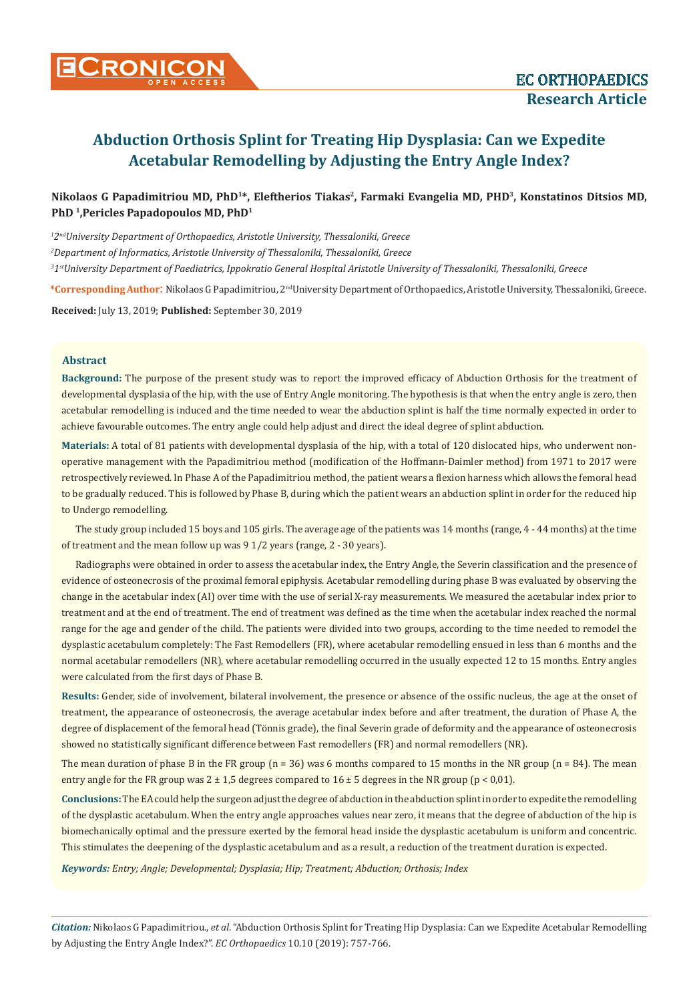

# Nikolaos G Papadimitriou MD, PhD<sup>1\*</sup>, Eleftherios Tiakas<sup>2</sup>, Farmaki Evangelia MD, PHD<sup>3</sup>, Konstatinos Ditsios MD, **PhD 1,Pericles Papadopoulos MD, PhD1**

*1 2ndUniversity Department of Orthopaedics, Aristotle University, Thessaloniki, Greece 2 Department of Informatics, Aristotle University of Thessaloniki, Thessaloniki, Greece 3 1stUniversity Department of Paediatrics, Ippokratio General Hospital Aristotle University of Thessaloniki, Thessaloniki, Greece*

**\*Corresponding Author**: Nikolaos G Papadimitriou, 2ndUniversity Department of Orthopaedics, Aristotle University, Thessaloniki, Greece. **Received:** July 13, 2019; **Published:** September 30, 2019

### **Abstract**

**Background:** The purpose of the present study was to report the improved efficacy of Abduction Orthosis for the treatment of developmental dysplasia of the hip, with the use of Entry Angle monitoring. The hypothesis is that when the entry angle is zero, then acetabular remodelling is induced and the time needed to wear the abduction splint is half the time normally expected in order to achieve favourable outcomes. The entry angle could help adjust and direct the ideal degree of splint abduction.

**Materials:** A total of 81 patients with developmental dysplasia of the hip, with a total of 120 dislocated hips, who underwent nonoperative management with the Papadimitriou method (modification of the Hoffmann-Daimler method) from 1971 to 2017 were retrospectively reviewed. In Phase A of the Papadimitriou method, the patient wears a flexion harness which allows the femoral head to be gradually reduced. This is followed by Phase B, during which the patient wears an abduction splint in order for the reduced hip to Undergo remodelling.

The study group included 15 boys and 105 girls. The average age of the patients was 14 months (range, 4 - 44 months) at the time of treatment and the mean follow up was 9 1/2 years (range, 2 - 30 years).

Radiographs were obtained in order to assess the acetabular index, the Entry Angle, the Severin classification and the presence of evidence of osteonecrosis of the proximal femoral epiphysis. Acetabular remodelling during phase B was evaluated by observing the change in the acetabular index (AI) over time with the use of serial X-ray measurements. We measured the acetabular index prior to treatment and at the end of treatment. The end of treatment was defined as the time when the acetabular index reached the normal range for the age and gender of the child. The patients were divided into two groups, according to the time needed to remodel the dysplastic acetabulum completely: The Fast Remodellers (FR), where acetabular remodelling ensued in less than 6 months and the normal acetabular remodellers (NR), where acetabular remodelling occurred in the usually expected 12 to 15 months. Entry angles were calculated from the first days of Phase B.

**Results:** Gender, side of involvement, bilateral involvement, the presence or absence of the ossific nucleus, the age at the onset of treatment, the appearance of osteonecrosis, the average acetabular index before and after treatment, the duration of Phase A, the degree of displacement of the femoral head (Tönnis grade), the final Severin grade of deformity and the appearance of osteonecrosis showed no statistically significant difference between Fast remodellers (FR) and normal remodellers (NR).

The mean duration of phase B in the FR group ( $n = 36$ ) was 6 months compared to 15 months in the NR group ( $n = 84$ ). The mean entry angle for the FR group was  $2 \pm 1.5$  degrees compared to  $16 \pm 5$  degrees in the NR group (p < 0.01).

**Conclusions:** The EA could help the surgeon adjust the degree of abduction in the abduction splint in order to expedite the remodelling of the dysplastic acetabulum. When the entry angle approaches values near zero, it means that the degree of abduction of the hip is biomechanically optimal and the pressure exerted by the femoral head inside the dysplastic acetabulum is uniform and concentric. This stimulates the deepening of the dysplastic acetabulum and as a result, a reduction of the treatment duration is expected.

*Keywords: Entry; Angle; Developmental; Dysplasia; Hip; Treatment; Abduction; Orthosis; Index*

*Citation:* Nikolaos G Papadimitriou., *et al*. "Abduction Orthosis Splint for Treating Hip Dysplasia: Can we Expedite Acetabular Remodelling by Adjusting the Entry Angle Index?". *EC Orthopaedics* 10.10 (2019): 757-766.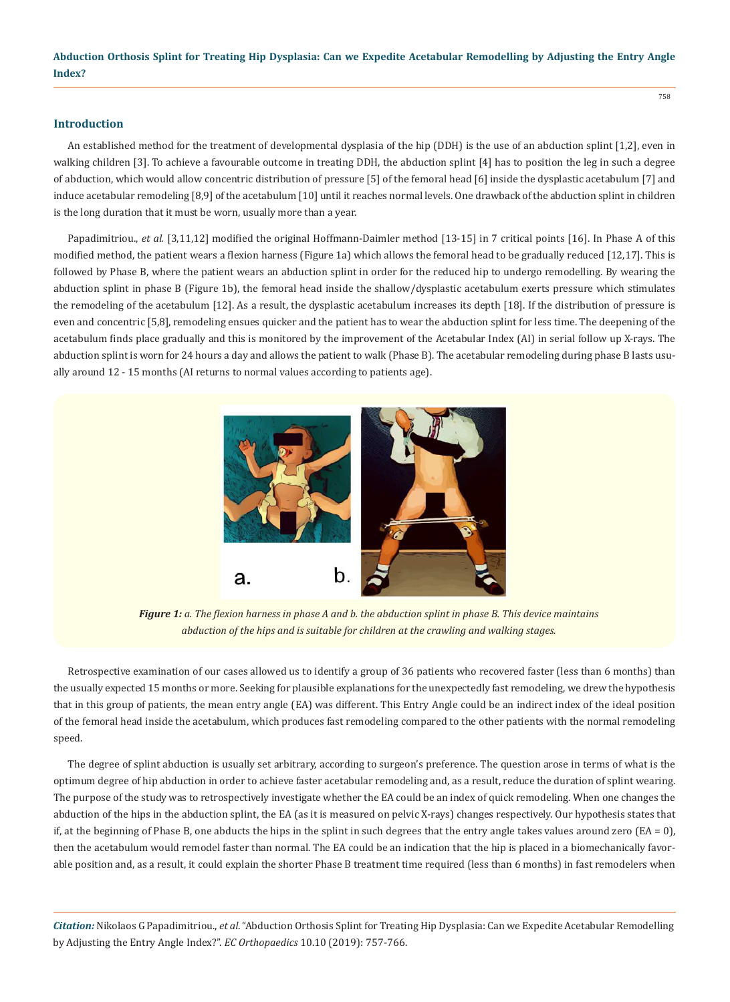758

### **Introduction**

An established method for the treatment of developmental dysplasia of the hip (DDH) is the use of an abduction splint [1,2], even in walking children [3]. To achieve a favourable outcome in treating DDH, the abduction splint [4] has to position the leg in such a degree of abduction, which would allow concentric distribution of pressure [5] of the femoral head [6] inside the dysplastic acetabulum [7] and induce acetabular remodeling [8,9] of the acetabulum [10] until it reaches normal levels. One drawback of the abduction splint in children is the long duration that it must be worn, usually more than a year.

Papadimitriou., *et al.* [3,11,12] modified the original Hoffmann-Daimler method [13-15] in 7 critical points [16]. In Phase A of this modified method, the patient wears a flexion harness (Figure 1a) which allows the femoral head to be gradually reduced [12,17]. This is followed by Phase B, where the patient wears an abduction splint in order for the reduced hip to undergo remodelling. By wearing the abduction splint in phase B (Figure 1b), the femoral head inside the shallow/dysplastic acetabulum exerts pressure which stimulates the remodeling of the acetabulum [12]. As a result, the dysplastic acetabulum increases its depth [18]. If the distribution of pressure is even and concentric [5,8], remodeling ensues quicker and the patient has to wear the abduction splint for less time. The deepening of the acetabulum finds place gradually and this is monitored by the improvement of the Acetabular Index (AI) in serial follow up X-rays. The abduction splint is worn for 24 hours a day and allows the patient to walk (Phase B). The acetabular remodeling during phase B lasts usually around 12 - 15 months (AI returns to normal values according to patients age).



*Figure 1: a. The flexion harness in phase A and b. the abduction splint in phase B. This device maintains abduction of the hips and is suitable for children at the crawling and walking stages.*

Retrospective examination of our cases allowed us to identify a group of 36 patients who recovered faster (less than 6 months) than the usually expected 15 months or more. Seeking for plausible explanations for the unexpectedly fast remodeling, we drew the hypothesis that in this group of patients, the mean entry angle (EA) was different. This Entry Angle could be an indirect index of the ideal position of the femoral head inside the acetabulum, which produces fast remodeling compared to the other patients with the normal remodeling speed.

The degree of splint abduction is usually set arbitrary, according to surgeon's preference. The question arose in terms of what is the optimum degree of hip abduction in order to achieve faster acetabular remodeling and, as a result, reduce the duration of splint wearing. The purpose of the study was to retrospectively investigate whether the EA could be an index of quick remodeling. When one changes the abduction of the hips in the abduction splint, the EA (as it is measured on pelvic X-rays) changes respectively. Our hypothesis states that if, at the beginning of Phase B, one abducts the hips in the splint in such degrees that the entry angle takes values around zero  $(EA = 0)$ , then the acetabulum would remodel faster than normal. The EA could be an indication that the hip is placed in a biomechanically favorable position and, as a result, it could explain the shorter Phase B treatment time required (less than 6 months) in fast remodelers when

*Citation:* Nikolaos G Papadimitriou., *et al*. "Abduction Orthosis Splint for Treating Hip Dysplasia: Can we Expedite Acetabular Remodelling by Adjusting the Entry Angle Index?". *EC Orthopaedics* 10.10 (2019): 757-766.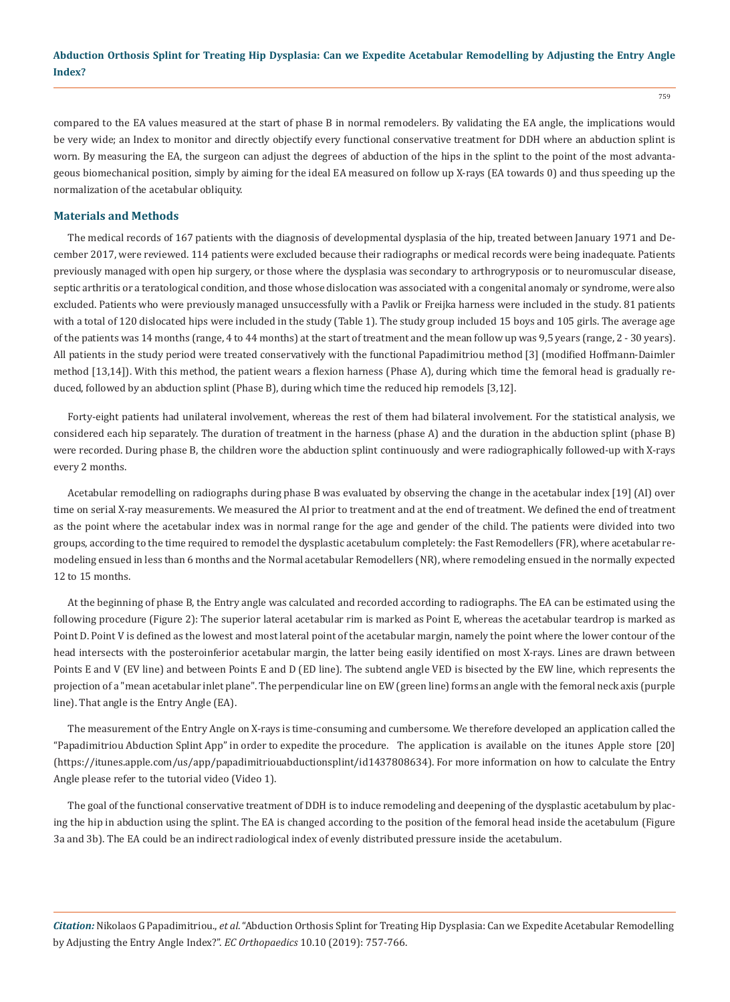compared to the EA values measured at the start of phase B in normal remodelers. By validating the EA angle, the implications would be very wide; an Index to monitor and directly objectify every functional conservative treatment for DDH where an abduction splint is worn. By measuring the EA, the surgeon can adjust the degrees of abduction of the hips in the splint to the point of the most advantageous biomechanical position, simply by aiming for the ideal EA measured on follow up X-rays (EA towards 0) and thus speeding up the normalization of the acetabular obliquity.

#### **Materials and Methods**

The medical records of 167 patients with the diagnosis of developmental dysplasia of the hip, treated between January 1971 and December 2017, were reviewed. 114 patients were excluded because their radiographs or medical records were being inadequate. Patients previously managed with open hip surgery, or those where the dysplasia was secondary to arthrogryposis or to neuromuscular disease, septic arthritis or a teratological condition, and those whose dislocation was associated with a congenital anomaly or syndrome, were also excluded. Patients who were previously managed unsuccessfully with a Pavlik or Freijka harness were included in the study. 81 patients with a total of 120 dislocated hips were included in the study (Table 1). The study group included 15 boys and 105 girls. The average age of the patients was 14 months (range, 4 to 44 months) at the start of treatment and the mean follow up was 9,5 years (range, 2 - 30 years). All patients in the study period were treated conservatively with the functional Papadimitriou method [3] (modified Hoffmann-Daimler method [13,14]). With this method, the patient wears a flexion harness (Phase A), during which time the femoral head is gradually reduced, followed by an abduction splint (Phase B), during which time the reduced hip remodels [3,12].

Forty-eight patients had unilateral involvement, whereas the rest of them had bilateral involvement. For the statistical analysis, we considered each hip separately. The duration of treatment in the harness (phase A) and the duration in the abduction splint (phase B) were recorded. During phase B, the children wore the abduction splint continuously and were radiographically followed-up with X-rays every 2 months.

Acetabular remodelling on radiographs during phase B was evaluated by observing the change in the acetabular index [19] (AI) over time on serial X-ray measurements. We measured the AI prior to treatment and at the end of treatment. We defined the end of treatment as the point where the acetabular index was in normal range for the age and gender of the child. The patients were divided into two groups, according to the time required to remodel the dysplastic acetabulum completely: the Fast Remodellers (FR), where acetabular remodeling ensued in less than 6 months and the Normal acetabular Remodellers (NR), where remodeling ensued in the normally expected 12 to 15 months.

At the beginning of phase B, the Entry angle was calculated and recorded according to radiographs. The EA can be estimated using the following procedure (Figure 2): The superior lateral acetabular rim is marked as Point E, whereas the acetabular teardrop is marked as Point D. Point V is defined as the lowest and most lateral point of the acetabular margin, namely the point where the lower contour of the head intersects with the posteroinferior acetabular margin, the latter being easily identified on most X-rays. Lines are drawn between Points E and V (EV line) and between Points E and D (ED line). The subtend angle VED is bisected by the EW line, which represents the projection of a "mean acetabular inlet plane". The perpendicular line on EW (green line) forms an angle with the femoral neck axis (purple line). That angle is the Entry Angle (EA).

The measurement of the Entry Angle on X-rays is time-consuming and cumbersome. We therefore developed an application called the "Papadimitriou Abduction Splint App" in order to expedite the procedure. The application is available on the itunes Apple store [20] [\(https://itunes.apple.com/us/app/papadimitriouabductionsplint/id1437808634\)](https://itunes.apple.com/us/app/papadimitriouabductionsplint/id1437808634). For more information on how to calculate the Entry Angle please refer to the tutorial video (Video 1).

The goal of the functional conservative treatment of DDH is to induce remodeling and deepening of the dysplastic acetabulum by placing the hip in abduction using the splint. The EA is changed according to the position of the femoral head inside the acetabulum (Figure 3a and 3b). The EA could be an indirect radiological index of evenly distributed pressure inside the acetabulum.

*Citation:* Nikolaos G Papadimitriou., *et al*. "Abduction Orthosis Splint for Treating Hip Dysplasia: Can we Expedite Acetabular Remodelling by Adjusting the Entry Angle Index?". *EC Orthopaedics* 10.10 (2019): 757-766.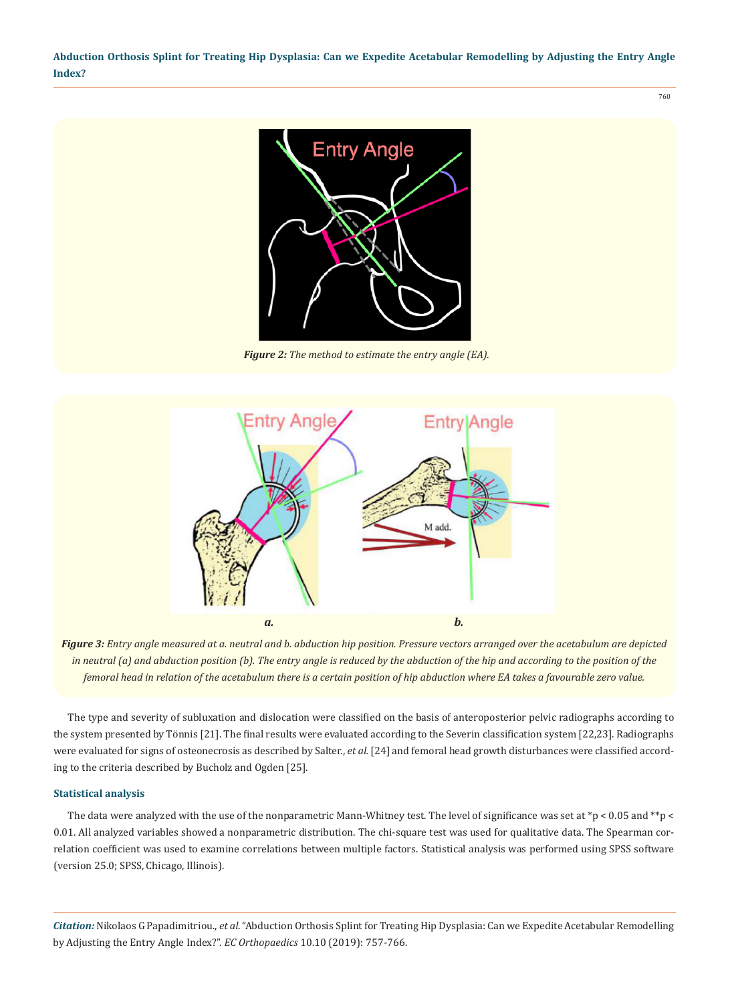760



*Figure 2: The method to estimate the entry angle (EA).*



*Figure 3: Entry angle measured at a. neutral and b. abduction hip position. Pressure vectors arranged over the acetabulum are depicted in neutral (a) and abduction position (b). The entry angle is reduced by the abduction of the hip and according to the position of the femoral head in relation of the acetabulum there is a certain position of hip abduction where EA takes a favourable zero value.*

The type and severity of subluxation and dislocation were classified on the basis of anteroposterior pelvic radiographs according to the system presented by Tönnis [21]. The final results were evaluated according to the Severin classification system [22,23]. Radiographs were evaluated for signs of osteonecrosis as described by Salter., *et al.* [24] and femoral head growth disturbances were classified according to the criteria described by Bucholz and Ogden [25].

#### **Statistical analysis**

The data were analyzed with the use of the nonparametric Mann-Whitney test. The level of significance was set at  $*_p$  < 0.05 and  $*_p$  < 0.01. All analyzed variables showed a nonparametric distribution. The chi-square test was used for qualitative data. The Spearman correlation coefficient was used to examine correlations between multiple factors. Statistical analysis was performed using SPSS software (version 25.0; SPSS, Chicago, Illinois).

*Citation:* Nikolaos G Papadimitriou., *et al*. "Abduction Orthosis Splint for Treating Hip Dysplasia: Can we Expedite Acetabular Remodelling by Adjusting the Entry Angle Index?". *EC Orthopaedics* 10.10 (2019): 757-766.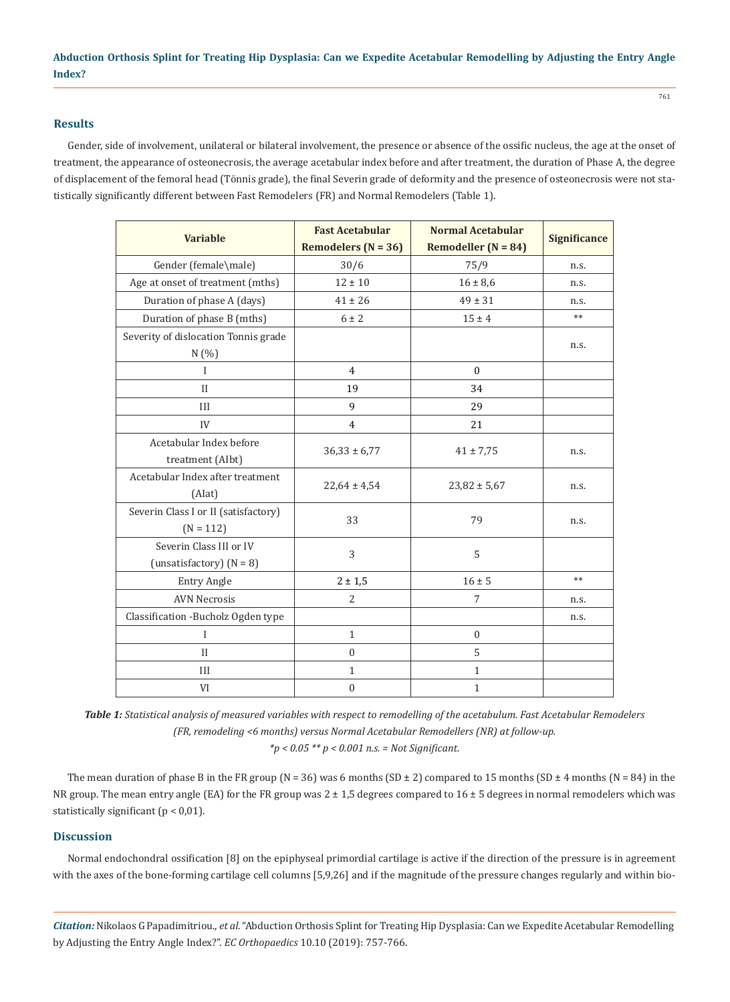## **Results**

Gender, side of involvement, unilateral or bilateral involvement, the presence or absence of the ossific nucleus, the age at the onset of treatment, the appearance of osteonecrosis, the average acetabular index before and after treatment, the duration of Phase A, the degree of displacement of the femoral head (Tönnis grade), the final Severin grade of deformity and the presence of osteonecrosis were not statistically significantly different between Fast Remodelers (FR) and Normal Remodelers (Table 1).

| <b>Variable</b>                                       | <b>Fast Acetabular</b><br>Remodelers ( $N = 36$ ) | <b>Normal Acetabular</b><br>Remodeller ( $N = 84$ ) | Significance |
|-------------------------------------------------------|---------------------------------------------------|-----------------------------------------------------|--------------|
| Gender (female\male)                                  | 30/6                                              | 75/9                                                | n.s.         |
| Age at onset of treatment (mths)                      | $12 \pm 10$                                       | $16 \pm 8,6$                                        | n.s.         |
| Duration of phase A (days)                            | $41 \pm 26$                                       | $49 \pm 31$                                         | n.s.         |
| Duration of phase B (mths)                            | $6 \pm 2$                                         | $15 \pm 4$                                          | $***$        |
| Severity of dislocation Tonnis grade<br>N(%)          |                                                   |                                                     | n.s.         |
| $\mathbf{I}$                                          | $\overline{4}$                                    | $\mathbf{0}$                                        |              |
| $\mathbf{I}$                                          | 19                                                | 34                                                  |              |
| III                                                   | 9                                                 | 29                                                  |              |
| IV                                                    | $\overline{4}$                                    | 21                                                  |              |
| Acetabular Index before<br>treatment (AIbt)           | $36,33 \pm 6,77$                                  | $41 \pm 7,75$                                       | n.s.         |
| Acetabular Index after treatment<br>(Alat)            | $22,64 \pm 4,54$                                  | $23,82 \pm 5,67$                                    | n.s.         |
| Severin Class I or II (satisfactory)<br>$(N = 112)$   | 33                                                | 79                                                  | n.s.         |
| Severin Class III or IV<br>(unsatisfactory) $(N = 8)$ | 3                                                 | 5                                                   |              |
| <b>Entry Angle</b>                                    | $2 \pm 1,5$                                       | $16 \pm 5$                                          | $**$         |
| <b>AVN Necrosis</b>                                   | 2                                                 | 7                                                   | n.s.         |
| Classification - Bucholz Ogden type                   |                                                   |                                                     | n.s.         |
| I                                                     | $\mathbf{1}$                                      | $\mathbf{0}$                                        |              |
| $\mathbf{I}$                                          | $\mathbf{0}$                                      | 5                                                   |              |
| III                                                   | $\mathbf{1}$                                      | $\mathbf{1}$                                        |              |
| VI                                                    | $\boldsymbol{0}$                                  | $\mathbf{1}$                                        |              |

*Table 1: Statistical analysis of measured variables with respect to remodelling of the acetabulum. Fast Acetabular Remodelers (FR, remodeling <6 months) versus Normal Acetabular Remodellers (NR) at follow-up. \*p < 0.05 \*\* p < 0.001 n.s. = Not Significant.*

The mean duration of phase B in the FR group (N = 36) was 6 months (SD  $\pm$  2) compared to 15 months (SD  $\pm$  4 months (N = 84) in the NR group. The mean entry angle (EA) for the FR group was  $2 \pm 1.5$  degrees compared to  $16 \pm 5$  degrees in normal remodelers which was statistically significant ( $p < 0.01$ ).

## **Discussion**

Normal endochondral ossification [8] on the epiphyseal primordial cartilage is active if the direction of the pressure is in agreement with the axes of the bone-forming cartilage cell columns [5,9,26] and if the magnitude of the pressure changes regularly and within bio-

*Citation:* Nikolaos G Papadimitriou., *et al*. "Abduction Orthosis Splint for Treating Hip Dysplasia: Can we Expedite Acetabular Remodelling by Adjusting the Entry Angle Index?". *EC Orthopaedics* 10.10 (2019): 757-766.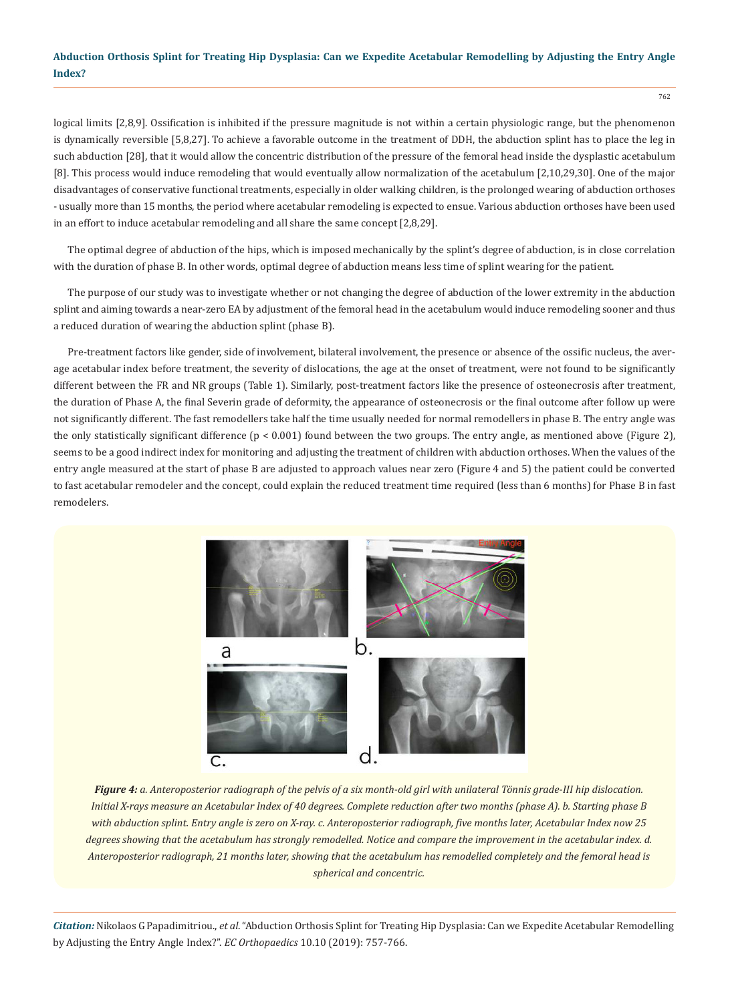logical limits [2,8,9]. Ossification is inhibited if the pressure magnitude is not within a certain physiologic range, but the phenomenon is dynamically reversible [5,8,27]. To achieve a favorable outcome in the treatment of DDH, the abduction splint has to place the leg in such abduction [28], that it would allow the concentric distribution of the pressure of the femoral head inside the dysplastic acetabulum [8]. This process would induce remodeling that would eventually allow normalization of the acetabulum [2,10,29,30]. One of the major disadvantages of conservative functional treatments, especially in older walking children, is the prolonged wearing of abduction orthoses - usually more than 15 months, the period where acetabular remodeling is expected to ensue. Various abduction orthoses have been used in an effort to induce acetabular remodeling and all share the same concept [2,8,29].

The optimal degree of abduction of the hips, which is imposed mechanically by the splint's degree of abduction, is in close correlation with the duration of phase B. In other words, optimal degree of abduction means less time of splint wearing for the patient.

The purpose of our study was to investigate whether or not changing the degree of abduction of the lower extremity in the abduction splint and aiming towards a near-zero EA by adjustment of the femoral head in the acetabulum would induce remodeling sooner and thus a reduced duration of wearing the abduction splint (phase B).

Pre-treatment factors like gender, side of involvement, bilateral involvement, the presence or absence of the ossific nucleus, the average acetabular index before treatment, the severity of dislocations, the age at the onset of treatment, were not found to be significantly different between the FR and NR groups (Table 1). Similarly, post-treatment factors like the presence of osteonecrosis after treatment, the duration of Phase A, the final Severin grade of deformity, the appearance of osteonecrosis or the final outcome after follow up were not significantly different. The fast remodellers take half the time usually needed for normal remodellers in phase B. The entry angle was the only statistically significant difference  $(p < 0.001)$  found between the two groups. The entry angle, as mentioned above (Figure 2), seems to be a good indirect index for monitoring and adjusting the treatment of children with abduction orthoses. When the values of the entry angle measured at the start of phase B are adjusted to approach values near zero (Figure 4 and 5) the patient could be converted to fast acetabular remodeler and the concept, could explain the reduced treatment time required (less than 6 months) for Phase B in fast remodelers.



*Figure 4: a. Anteroposterior radiograph of the pelvis of a six month-old girl with unilateral Tönnis grade-III hip dislocation. Initial X-rays measure an Acetabular Index of 40 degrees. Complete reduction after two months (phase A). b. Starting phase B with abduction splint. Entry angle is zero on X-ray. c. Anteroposterior radiograph, five months later, Acetabular Index now 25 degrees showing that the acetabulum has strongly remodelled. Notice and compare the improvement in the acetabular index. d. Anteroposterior radiograph, 21 months later, showing that the acetabulum has remodelled completely and the femoral head is spherical and concentric.*

*Citation:* Nikolaos G Papadimitriou., *et al*. "Abduction Orthosis Splint for Treating Hip Dysplasia: Can we Expedite Acetabular Remodelling by Adjusting the Entry Angle Index?". *EC Orthopaedics* 10.10 (2019): 757-766.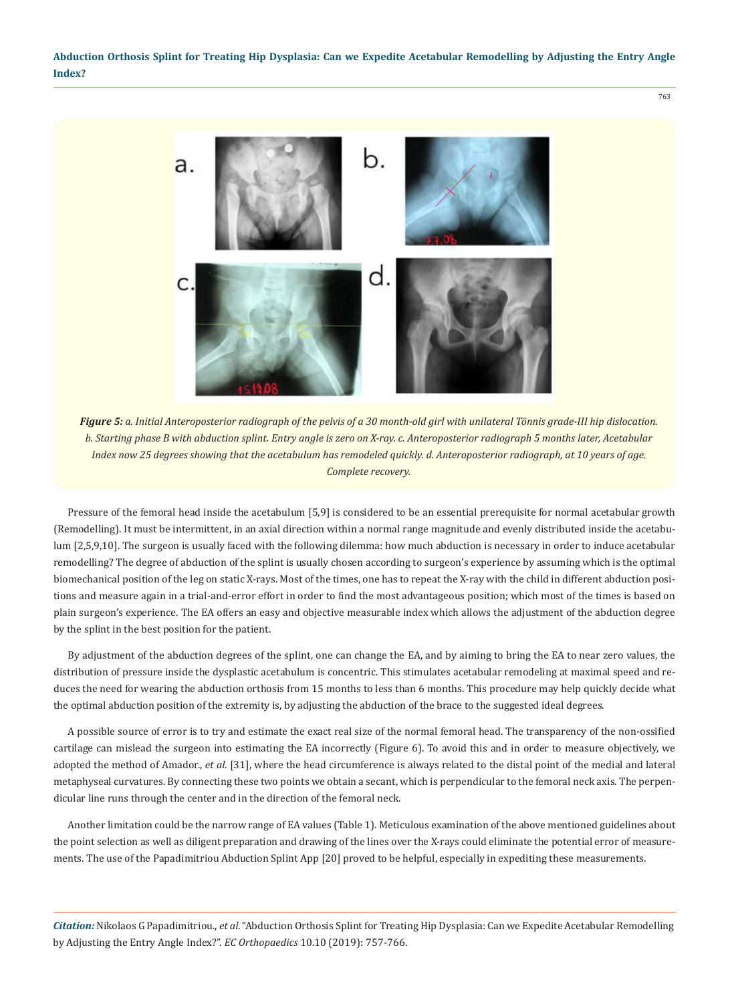

*Figure 5: a. Initial Anteroposterior radiograph of the pelvis of a 30 month-old girl with unilateral Tönnis grade-III hip dislocation. b. Starting phase B with abduction splint. Entry angle is zero on X-ray. c. Anteroposterior radiograph 5 months later, Acetabular Index now 25 degrees showing that the acetabulum has remodeled quickly. d. Anteroposterior radiograph, at 10 years of age. Complete recovery.*

Pressure of the femoral head inside the acetabulum [5,9] is considered to be an essential prerequisite for normal acetabular growth (Remodelling). It must be intermittent, in an axial direction within a normal range magnitude and evenly distributed inside the acetabulum [2,5,9,10]. The surgeon is usually faced with the following dilemma: how much abduction is necessary in order to induce acetabular remodelling? The degree of abduction of the splint is usually chosen according to surgeon's experience by assuming which is the optimal biomechanical position of the leg on static X-rays. Most of the times, one has to repeat the X-ray with the child in different abduction positions and measure again in a trial-and-error effort in order to find the most advantageous position; which most of the times is based on plain surgeon's experience. The EA offers an easy and objective measurable index which allows the adjustment of the abduction degree by the splint in the best position for the patient.

By adjustment of the abduction degrees of the splint, one can change the EA, and by aiming to bring the EA to near zero values, the distribution of pressure inside the dysplastic acetabulum is concentric. This stimulates acetabular remodeling at maximal speed and reduces the need for wearing the abduction orthosis from 15 months to less than 6 months. This procedure may help quickly decide what the optimal abduction position of the extremity is, by adjusting the abduction of the brace to the suggested ideal degrees.

A possible source of error is to try and estimate the exact real size of the normal femoral head. The transparency of the non-ossified cartilage can mislead the surgeon into estimating the EA incorrectly (Figure 6). To avoid this and in order to measure objectively, we adopted the method of Amador., *et al.* [31], where the head circumference is always related to the distal point of the medial and lateral metaphyseal curvatures. By connecting these two points we obtain a secant, which is perpendicular to the femoral neck axis. The perpendicular line runs through the center and in the direction of the femoral neck.

Another limitation could be the narrow range of EA values (Table 1). Meticulous examination of the above mentioned guidelines about the point selection as well as diligent preparation and drawing of the lines over the X-rays could eliminate the potential error of measurements. The use of the Papadimitriou Abduction Splint App [20] proved to be helpful, especially in expediting these measurements.

*Citation:* Nikolaos G Papadimitriou., *et al*. "Abduction Orthosis Splint for Treating Hip Dysplasia: Can we Expedite Acetabular Remodelling by Adjusting the Entry Angle Index?". *EC Orthopaedics* 10.10 (2019): 757-766.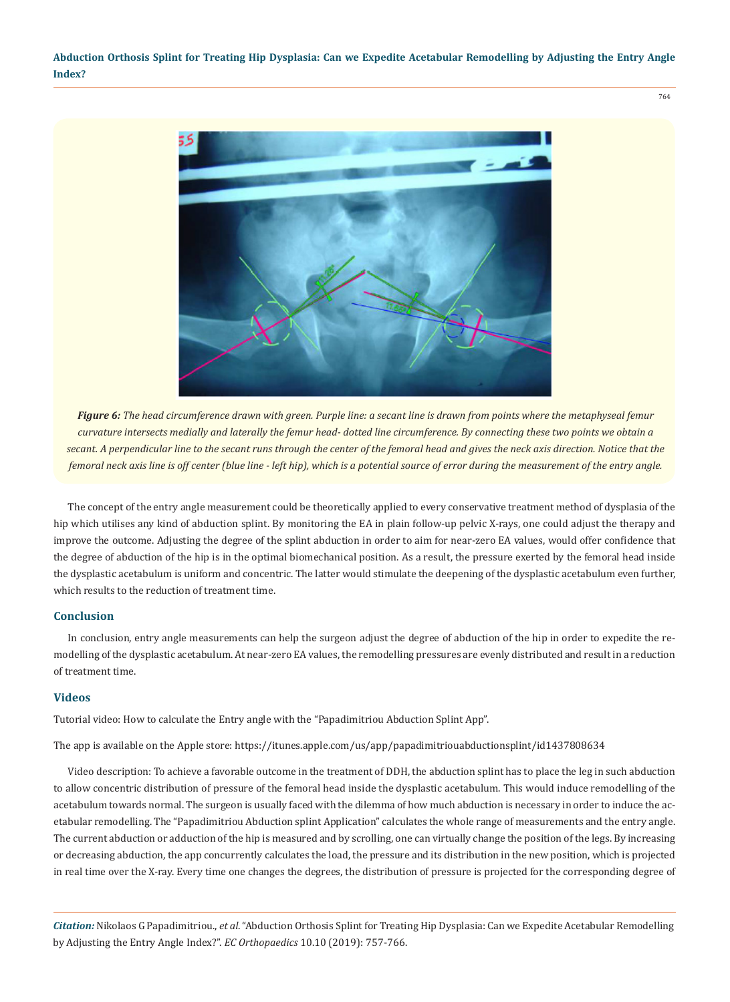

*Figure 6: The head circumference drawn with green. Purple line: a secant line is drawn from points where the metaphyseal femur curvature intersects medially and laterally the femur head- dotted line circumference. By connecting these two points we obtain a secant. A perpendicular line to the secant runs through the center of the femoral head and gives the neck axis direction. Notice that the femoral neck axis line is off center (blue line - left hip), which is a potential source of error during the measurement of the entry angle.*

The concept of the entry angle measurement could be theoretically applied to every conservative treatment method of dysplasia of the hip which utilises any kind of abduction splint. By monitoring the EA in plain follow-up pelvic X-rays, one could adjust the therapy and improve the outcome. Adjusting the degree of the splint abduction in order to aim for near-zero EA values, would offer confidence that the degree of abduction of the hip is in the optimal biomechanical position. As a result, the pressure exerted by the femoral head inside the dysplastic acetabulum is uniform and concentric. The latter would stimulate the deepening of the dysplastic acetabulum even further, which results to the reduction of treatment time.

#### **Conclusion**

In conclusion, entry angle measurements can help the surgeon adjust the degree of abduction of the hip in order to expedite the remodelling of the dysplastic acetabulum. At near-zero EA values, the remodelling pressures are evenly distributed and result in a reduction of treatment time.

#### **Videos**

Tutorial video: How to calculate the Entry angle with the "Papadimitriou Abduction Splint App".

The app is available on the Apple store: <https://itunes.apple.com/us/app/papadimitriouabductionsplint/id1437808634>

Video description: To achieve a favorable outcome in the treatment of DDH, the abduction splint has to place the leg in such abduction to allow concentric distribution of pressure of the femoral head inside the dysplastic acetabulum. This would induce remodelling of the acetabulum towards normal. The surgeon is usually faced with the dilemma of how much abduction is necessary in order to induce the acetabular remodelling. The "Papadimitriou Abduction splint Application" calculates the whole range of measurements and the entry angle. The current abduction or adduction of the hip is measured and by scrolling, one can virtually change the position of the legs. By increasing or decreasing abduction, the app concurrently calculates the load, the pressure and its distribution in the new position, which is projected in real time over the X-ray. Every time one changes the degrees, the distribution of pressure is projected for the corresponding degree of

*Citation:* Nikolaos G Papadimitriou., *et al*. "Abduction Orthosis Splint for Treating Hip Dysplasia: Can we Expedite Acetabular Remodelling by Adjusting the Entry Angle Index?". *EC Orthopaedics* 10.10 (2019): 757-766.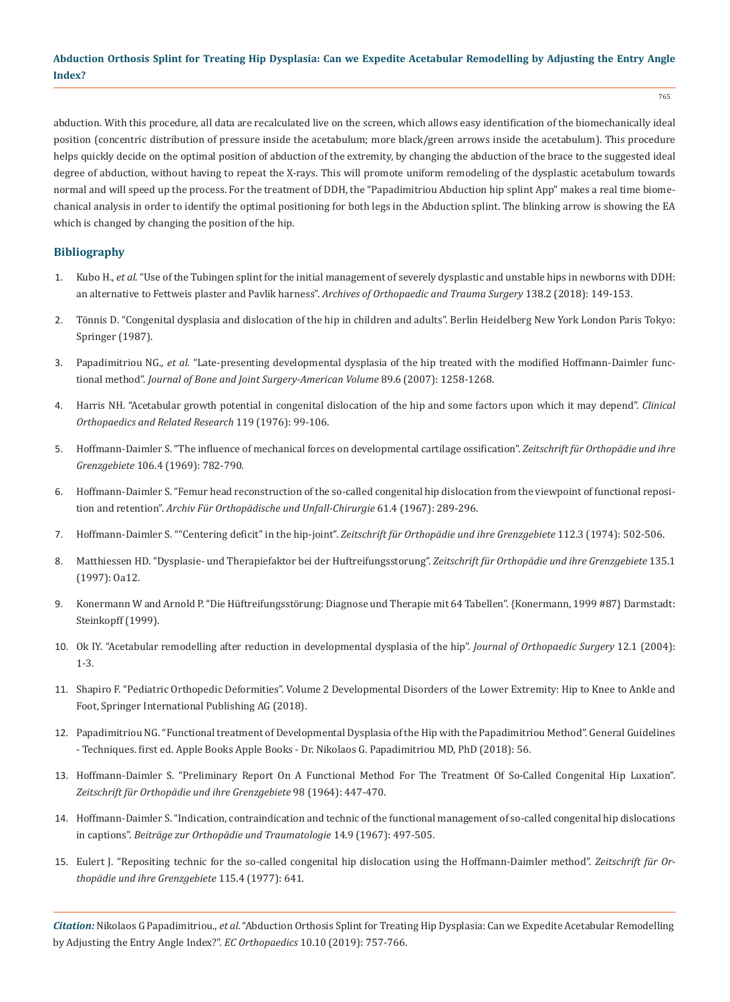abduction. With this procedure, all data are recalculated live on the screen, which allows easy identification of the biomechanically ideal position (concentric distribution of pressure inside the acetabulum; more black/green arrows inside the acetabulum). This procedure helps quickly decide on the optimal position of abduction of the extremity, by changing the abduction of the brace to the suggested ideal degree of abduction, without having to repeat the X-rays. This will promote uniform remodeling of the dysplastic acetabulum towards normal and will speed up the process. For the treatment of DDH, the "Papadimitriou Abduction hip splint App" makes a real time biomechanical analysis in order to identify the optimal positioning for both legs in the Abduction splint. The blinking arrow is showing the EA which is changed by changing the position of the hip.

## **Bibliography**

- 1. Kubo H., *et al*[. "Use of the Tubingen splint for the initial management of severely dysplastic and unstable hips in newborns with DDH:](https://www.ncbi.nlm.nih.gov/pubmed/29080986)  [an alternative to Fettweis plaster and Pavlik harness".](https://www.ncbi.nlm.nih.gov/pubmed/29080986) *Archives of Orthopaedic and Trauma Surgery* 138.2 (2018): 149-153.
- 2. [Tönnis D. "Congenital dysplasia and dislocation of the hip in children and adults". Berlin Heidelberg New York London Paris Tokyo:](https://www.springer.com/gp/book/9783642710407)  [Springer \(1987\).](https://www.springer.com/gp/book/9783642710407)
- 3. Papadimitriou NG., *et al*[. "Late-presenting developmental dysplasia of the hip treated with the modified Hoffmann-Daimler func](https://www.ncbi.nlm.nih.gov/pubmed/17545429)tional method". *[Journal of Bone and Joint Surgery-American Volume](https://www.ncbi.nlm.nih.gov/pubmed/17545429)* 89.6 (2007): 1258-1268.
- 4. [Harris NH. "Acetabular growth potential in congenital dislocation of the hip and some factors upon which it may depend".](https://www.ncbi.nlm.nih.gov/pubmed/954330) *Clinical [Orthopaedics and Related Research](https://www.ncbi.nlm.nih.gov/pubmed/954330)* 119 (1976): 99-106.
- 5. [Hoffmann-Daimler S. "The influence of mechanical forces on developmental cartilage ossification".](https://www.ncbi.nlm.nih.gov/pubmed/4242533) *Zeitschrift für Orthopädie und ihre Grenzgebiete* [106.4 \(1969\): 782-790.](https://www.ncbi.nlm.nih.gov/pubmed/4242533)
- 6. [Hoffmann-Daimler S. "Femur head reconstruction of the so-called congenital hip dislocation from the viewpoint of functional reposi](https://www.ncbi.nlm.nih.gov/pubmed/5589039)tion and retention". *[Archiv Für Orthopädische und Unfall-Chirurgie](https://www.ncbi.nlm.nih.gov/pubmed/5589039)* 61.4 (1967): 289-296.
- 7. [Hoffmann-Daimler S. ""Centering deficit" in the hip-joint".](https://www.ncbi.nlm.nih.gov/pubmed/4277114) *Zeitschrift für Orthopädie und ihre Grenzgebiete* 112.3 (1974): 502-506.
- 8. [Matthiessen HD. "Dysplasie- und Therapiefaktor bei der Huftreifungsstorung".](https://www.semanticscholar.org/paper/Dysplasie-und-Therapiefaktor-bei-der-Matthiessen/6ba351e1ccf6523f8cb4f78cc37f1a7eef209261) *Zeitschrift für Orthopädie und ihre Grenzgebiete* 135.1 [\(1997\): Oa12.](https://www.semanticscholar.org/paper/Dysplasie-und-Therapiefaktor-bei-der-Matthiessen/6ba351e1ccf6523f8cb4f78cc37f1a7eef209261)
- 9. Konermann W and Arnold P. "Die Hüftreifungsstörung: Diagnose und Therapie mit 64 Tabellen". {Konermann, 1999 #87} Darmstadt: Steinkopff (1999).
- 10. [Ok IY. "Acetabular remodelling after reduction in developmental dysplasia of the hip".](https://www.ncbi.nlm.nih.gov/pubmed/15237113) *Journal of Orthopaedic Surgery* 12.1 (2004): [1-3.](https://www.ncbi.nlm.nih.gov/pubmed/15237113)
- 11. Shapiro F. "Pediatric Orthopedic Deformities". Volume 2 Developmental Disorders of the Lower Extremity: Hip to Knee to Ankle and Foot, Springer International Publishing AG (2018).
- 12. Papadimitriou NG. "Functional treatment of Developmental Dysplasia of the Hip with the Papadimitriou Method". General Guidelines - Techniques. first ed. Apple Books Apple Books - Dr. Nikolaos G. Papadimitriou MD, PhD (2018): 56.
- 13. [Hoffmann-Daimler S. "Preliminary Report On A Functional Method For The Treatment Of So-Called Congenital Hip Luxation".](https://www.ncbi.nlm.nih.gov/pubmed/14227105)  *[Zeitschrift für Orthopädie und ihre Grenzgebiete](https://www.ncbi.nlm.nih.gov/pubmed/14227105)* 98 (1964): 447-470.
- 14. [Hoffmann-Daimler S. "Indication, contraindication and technic of the functional management of so-called congenital hip dislocations](https://www.ncbi.nlm.nih.gov/pubmed/5589701)  in captions". *[Beiträge zur Orthopädie und Traumatologie](https://www.ncbi.nlm.nih.gov/pubmed/5589701)* 14.9 (1967): 497-505.
- 15. [Eulert J. "Repositing technic for the so-called congenital hip dislocation using the Hoffmann-Daimler method".](https://www.ncbi.nlm.nih.gov/pubmed/919716) *Zeitschrift für Or[thopädie und ihre Grenzgebiete](https://www.ncbi.nlm.nih.gov/pubmed/919716)* 115.4 (1977): 641.

*Citation:* Nikolaos G Papadimitriou., *et al*. "Abduction Orthosis Splint for Treating Hip Dysplasia: Can we Expedite Acetabular Remodelling by Adjusting the Entry Angle Index?". *EC Orthopaedics* 10.10 (2019): 757-766.